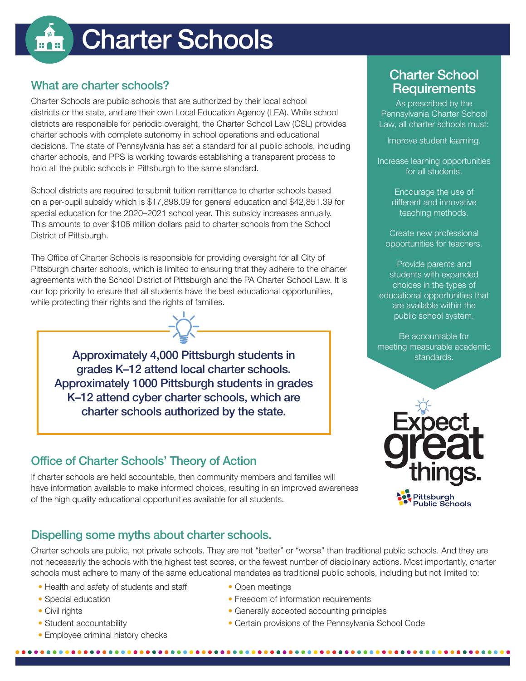# Charter Schools

## What are charter schools?

Charter Schools are public schools that are authorized by their local school districts or the state, and are their own Local Education Agency (LEA). While school districts are responsible for periodic oversight, the Charter School Law (CSL) provides charter schools with complete autonomy in school operations and educational decisions. The state of Pennsylvania has set a standard for all public schools, including charter schools, and PPS is working towards establishing a transparent process to hold all the public schools in Pittsburgh to the same standard.

School districts are required to submit tuition remittance to charter schools based on a per-pupil subsidy which is \$17,898.09 for general education and \$42,851.39 for special education for the 2020–2021 school year. This subsidy increases annually. This amounts to over \$106 million dollars paid to charter schools from the School District of Pittsburgh.

The Office of Charter Schools is responsible for providing oversight for all City of Pittsburgh charter schools, which is limited to ensuring that they adhere to the charter agreements with the School District of Pittsburgh and the PA Charter School Law. It is our top priority to ensure that all students have the best educational opportunities, while protecting their rights and the rights of families.

Approximately 4,000 Pittsburgh students in grades K–12 attend local charter schools. Approximately 1000 Pittsburgh students in grades K–12 attend cyber charter schools, which are charter schools authorized by the state.

### Office of Charter Schools' Theory of Action

If charter schools are held accountable, then community members and families will have information available to make informed choices, resulting in an improved awareness of the high quality educational opportunities available for all students.

## Dispelling some myths about charter schools.

...............

Charter schools are public, not private schools. They are not "better" or "worse" than traditional public schools. And they are not necessarily the schools with the highest test scores, or the fewest number of disciplinary actions. Most importantly, charter schools must adhere to many of the same educational mandates as traditional public schools, including but not limited to:

- Health and safety of students and staff
- Special education
- Civil rights
- Student accountability
- Employee criminal history checks
- Open meetings
- Freedom of information requirements
- Generally accepted accounting principles
- Certain provisions of the Pennsylvania School Code

## Charter School **Requirements**

As prescribed by the Pennsylvania Charter School Law, all charter schools must:

Improve student learning.

Increase learning opportunities for all students.

> Encourage the use of different and innovative teaching methods.

Create new professional opportunities for teachers.

Provide parents and students with expanded choices in the types of educational opportunities that are available within the public school system.

Be accountable for meeting measurable academic standards.